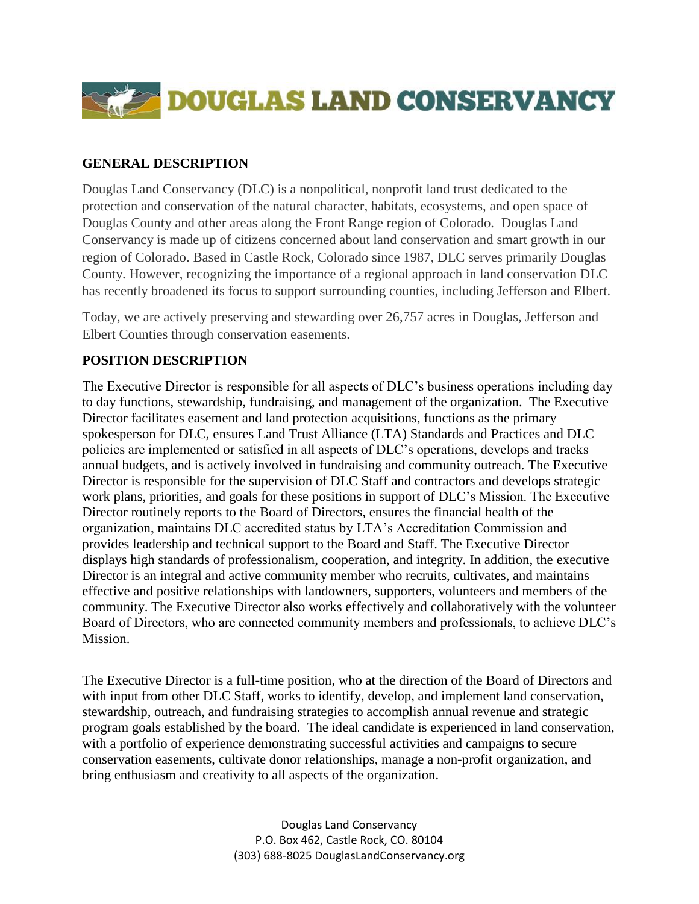

### **GENERAL DESCRIPTION**

Douglas Land Conservancy (DLC) is a nonpolitical, nonprofit land trust dedicated to the protection and conservation of the natural character, habitats, ecosystems, and open space of Douglas County and other areas along the Front Range region of Colorado. Douglas Land Conservancy is made up of citizens concerned about land conservation and smart growth in our region of Colorado. Based in Castle Rock, Colorado since 1987, DLC serves primarily Douglas County. However, recognizing the importance of a regional approach in land conservation DLC has recently broadened its focus to support surrounding counties, including Jefferson and Elbert.

Today, we are actively preserving and stewarding over 26,757 acres in Douglas, Jefferson and Elbert Counties through conservation easements.

### **POSITION DESCRIPTION**

The Executive Director is responsible for all aspects of DLC's business operations including day to day functions, stewardship, fundraising, and management of the organization. The Executive Director facilitates easement and land protection acquisitions, functions as the primary spokesperson for DLC, ensures Land Trust Alliance (LTA) Standards and Practices and DLC policies are implemented or satisfied in all aspects of DLC's operations, develops and tracks annual budgets, and is actively involved in fundraising and community outreach. The Executive Director is responsible for the supervision of DLC Staff and contractors and develops strategic work plans, priorities, and goals for these positions in support of DLC's Mission. The Executive Director routinely reports to the Board of Directors, ensures the financial health of the organization, maintains DLC accredited status by LTA's Accreditation Commission and provides leadership and technical support to the Board and Staff. The Executive Director displays high standards of professionalism, cooperation, and integrity. In addition, the executive Director is an integral and active community member who recruits, cultivates, and maintains effective and positive relationships with landowners, supporters, volunteers and members of the community. The Executive Director also works effectively and collaboratively with the volunteer Board of Directors, who are connected community members and professionals, to achieve DLC's Mission.

The Executive Director is a full-time position, who at the direction of the Board of Directors and with input from other DLC Staff, works to identify, develop, and implement land conservation, stewardship, outreach, and fundraising strategies to accomplish annual revenue and strategic program goals established by the board. The ideal candidate is experienced in land conservation, with a portfolio of experience demonstrating successful activities and campaigns to secure conservation easements, cultivate donor relationships, manage a non-profit organization, and bring enthusiasm and creativity to all aspects of the organization.

> Douglas Land Conservancy P.O. Box 462, Castle Rock, CO. 80104 (303) 688-8025 DouglasLandConservancy.org